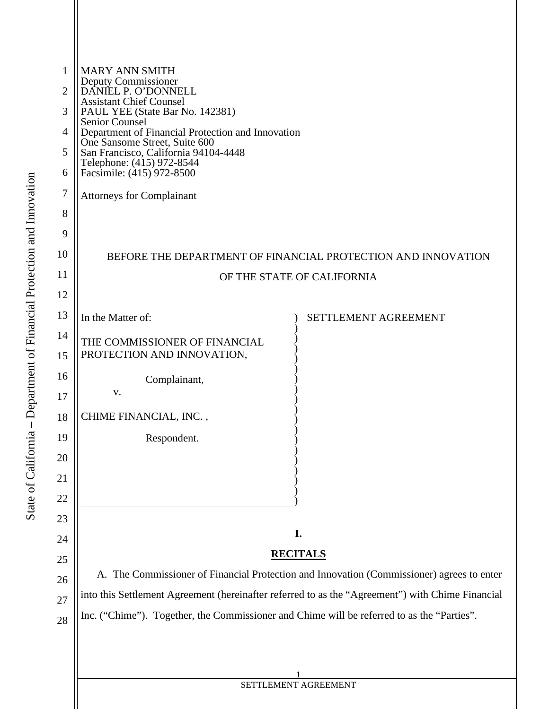| 1              | <b>MARY ANN SMITH</b>                                                                            |  |  |  |  |  |
|----------------|--------------------------------------------------------------------------------------------------|--|--|--|--|--|
| $\overline{2}$ | Deputy Commissioner<br>DANIEL P. O'DONNELL                                                       |  |  |  |  |  |
| 3              | <b>Assistant Chief Counsel</b><br>PAUL YEE (State Bar No. 142381)                                |  |  |  |  |  |
| 4              | Senior Counsel<br>Department of Financial Protection and Innovation                              |  |  |  |  |  |
| 5              | One Sansome Street, Suite 600<br>San Francisco, California 94104-4448                            |  |  |  |  |  |
| 6              | Telephone: (415) 972-8544<br>Facsimile: (415) 972-8500                                           |  |  |  |  |  |
| 7              | <b>Attorneys for Complainant</b>                                                                 |  |  |  |  |  |
| 8              |                                                                                                  |  |  |  |  |  |
| 9              |                                                                                                  |  |  |  |  |  |
| 10             | BEFORE THE DEPARTMENT OF FINANCIAL PROTECTION AND INNOVATION                                     |  |  |  |  |  |
| 11             | OF THE STATE OF CALIFORNIA                                                                       |  |  |  |  |  |
| 12             |                                                                                                  |  |  |  |  |  |
| 13             | In the Matter of:<br><b>SETTLEMENT AGREEMENT</b>                                                 |  |  |  |  |  |
| 14             | THE COMMISSIONER OF FINANCIAL                                                                    |  |  |  |  |  |
| 15             | PROTECTION AND INNOVATION,                                                                       |  |  |  |  |  |
| 16             | Complainant,<br>V.                                                                               |  |  |  |  |  |
| 17<br>18       | CHIME FINANCIAL, INC.,                                                                           |  |  |  |  |  |
| 19             |                                                                                                  |  |  |  |  |  |
| 20             | Respondent.                                                                                      |  |  |  |  |  |
| 21             |                                                                                                  |  |  |  |  |  |
| 22             |                                                                                                  |  |  |  |  |  |
| 23             |                                                                                                  |  |  |  |  |  |
| 24             | I.                                                                                               |  |  |  |  |  |
| 25             | <b>RECITALS</b>                                                                                  |  |  |  |  |  |
| 26             | A. The Commissioner of Financial Protection and Innovation (Commissioner) agrees to enter        |  |  |  |  |  |
| 27             | into this Settlement Agreement (hereinafter referred to as the "Agreement") with Chime Financial |  |  |  |  |  |
| 28             | Inc. ("Chime"). Together, the Commissioner and Chime will be referred to as the "Parties".       |  |  |  |  |  |
|                |                                                                                                  |  |  |  |  |  |
|                |                                                                                                  |  |  |  |  |  |
|                |                                                                                                  |  |  |  |  |  |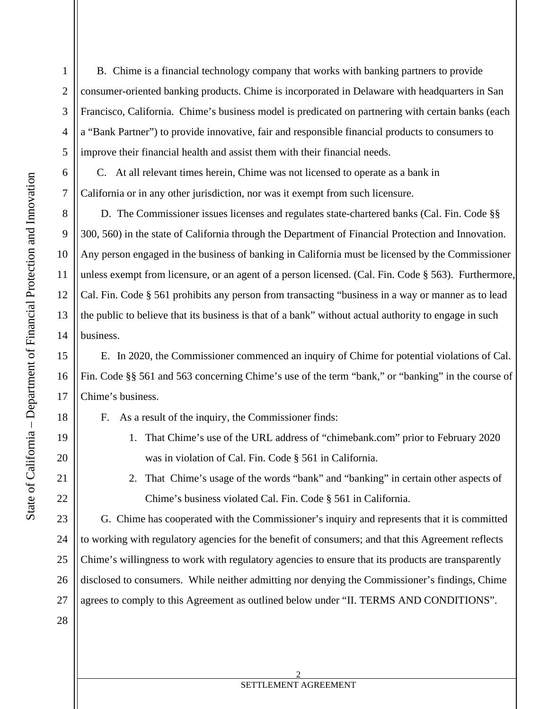5

6

7

8

9

<span id="page-1-0"></span>1

2

3

4

10

11

12

13

14

15

16

17

18

20

21

22

23

24

19

B. Chime is a financial technology company that works with banking partners to provide consumer-oriented banking products. Chime is incorporated in Delaware with headquarters in San Francisco, California. Chime's business model is predicated on partnering with certain banks (each a "Bank Partner") to provide innovative, fair and responsible financial products to consumers to improve their financial health and assist them with their financial needs.

C. At all relevant times herein, Chime was not licensed to operate as a bank in California or in any other jurisdiction, nor was it exempt from such licensure.

D. The Commissioner issues licenses and regulates state-chartered banks (Cal. Fin. Code §§ 300, 560) in the state of California through the Department of Financial Protection and Innovation. Any person engaged in the business of banking in California must be licensed by the Commissioner unless exempt from licensure, or an agent of a person licensed. (Cal. Fin. Code § 563). Furthermore, Cal. Fin. Code § 561 prohibits any person from transacting "business in a way or manner as to lead the public to believe that its business is that of a bank" without actual authority to engage in such business.

 E. In 2020, the Commissioner commenced an inquiry of Chime for potential violations of Cal. Fin. Code §§ 561 and 563 concerning Chime's use of the term "bank," or "banking" in the course of Chime's business.

F. As a result of the inquiry, the Commissioner finds:

- 1. That Chime's use of the URL address of "chimebank.com" prior to February 2020 was in violation of Cal. Fin. Code § 561 in California.
- 2. That Chime's usage of the words "bank" and "banking" in certain other aspects of Chime's business violated Cal. Fin. Code § 561 in California.

 G. Chime has cooperated with the Commissioner's inquiry and represents that it is committed agrees to comply to this Agreement as outlined below under "II. TERMS AND CONDITIONS". to working with regulatory agencies for the benefit of consumers; and that this Agreement reflects Chime's willingness to work with regulatory agencies to ensure that its products are transparently disclosed to consumers. While neither admitting nor denying the Commissioner's findings, Chime

28

25

26

27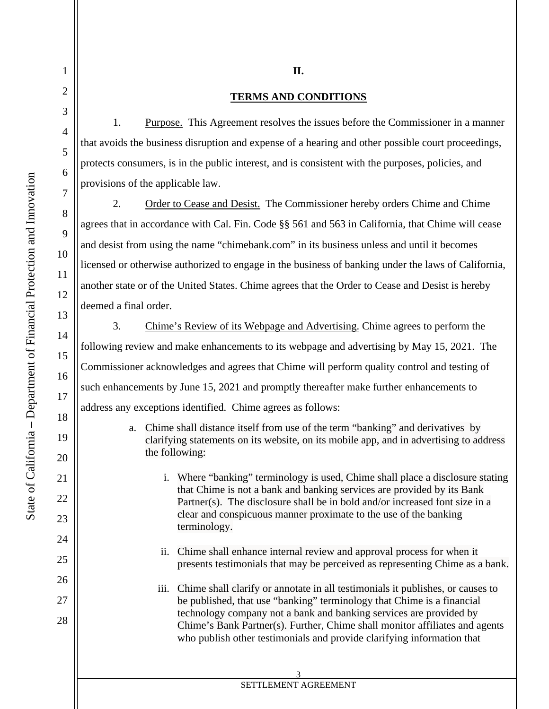5

6

7

8

9

<span id="page-2-0"></span>1

2

3

4

10

11

12

13

14

15

16

17

18

19

20

21

22

23

24

25

26

27

28

## **TERMS AND CONDITIONS**

**II.** 

1. Purpose. This Agreement resolves the issues before the Commissioner in a manner that avoids the business disruption and expense of a hearing and other possible court proceedings, protects consumers, is in the public interest, and is consistent with the purposes, policies, and provisions of the applicable law.

2. Order to Cease and Desist. The Commissioner hereby orders Chime and Chime agrees that in accordance with Cal. Fin. Code §§ 561 and 563 in California, that Chime will cease and desist from using the name "chimebank.com" in its business unless and until it becomes licensed or otherwise authorized to engage in the business of banking under the laws of California, another state or of the United States. Chime agrees that the Order to Cease and Desist is hereby deemed a final order.

3. Chime's Review of its Webpage and Advertising. Chime agrees to perform the following review and make enhancements to its webpage and advertising by May 15, 2021. The Commissioner acknowledges and agrees that Chime will perform quality control and testing of such enhancements by June 15, 2021 and promptly thereafter make further enhancements to address any exceptions identified. Chime agrees as follows:

- a. Chime shall distance itself from use of the term "banking" and derivatives by clarifying statements on its website, on its mobile app, and in advertising to address the following:
	- i. Where "banking" terminology is used, Chime shall place a disclosure stating that Chime is not a bank and banking services are provided by its Bank Partner(s). The disclosure shall be in bold and/or increased font size in a clear and conspicuous manner proximate to the use of the banking terminology.
	- ii. Chime shall enhance internal review and approval process for when it presents testimonials that may be perceived as representing Chime as a bank.
	- Chime's Bank Partner(s). Further, Chime shall monitor affiliates and agents iii. Chime shall clarify or annotate in all testimonials it publishes, or causes to be published, that use "banking" terminology that Chime is a financial technology company not a bank and banking services are provided by who publish other testimonials and provide clarifying information that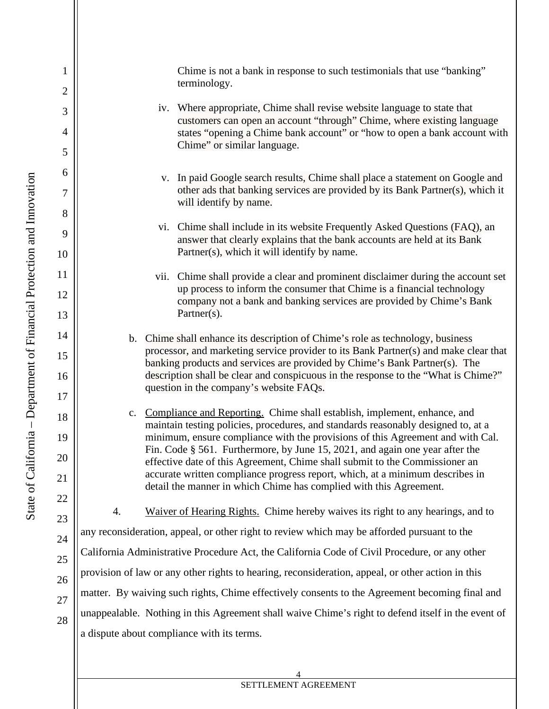Chime is not a bank in response to such testimonials that use "banking" terminology.

- iv. Where appropriate, Chime shall revise website language to state that customers can open an account "through" Chime, where existing language states "opening a Chime bank account" or "how to open a bank account with Chime" or similar language.
- v. In paid Google search results, Chime shall place a statement on Google and other ads that banking services are provided by its Bank Partner(s), which it will identify by name.
- answer that clearly explains that the bank accounts are held at its Bank vi. Chime shall include in its website Frequently Asked Questions (FAQ), an Partner(s), which it will identify by name.
- up process to inform the consumer that Chime is a financial technology vii. Chime shall provide a clear and prominent disclaimer during the account set company not a bank and banking services are provided by Chime's Bank Partner(s).
- b. Chime shall enhance its description of Chime's role as technology, business processor, and marketing service provider to its Bank Partner(s) and make clear that banking products and services are provided by Chime's Bank Partner(s). The description shall be clear and conspicuous in the response to the "What is Chime?" question in the company's website FAQs.
- c. Compliance and Reporting. Chime shall establish, implement, enhance, and maintain testing policies, procedures, and standards reasonably designed to, at a minimum, ensure compliance with the provisions of this Agreement and with Cal. Fin. Code § 561. Furthermore, by June 15, 2021, and again one year after the effective date of this Agreement, Chime shall submit to the Commissioner an accurate written compliance progress report, which, at a minimum describes in detail the manner in which Chime has complied with this Agreement.

4. Waiver of Hearing Rights. Chime hereby waives its right to any hearings, and to California Administrative Procedure Act, the California Code of Civil Procedure, or any other unappealable. Nothing in this Agreement shall waive Chime's right to defend itself in the event of any reconsideration, appeal, or other right to review which may be afforded pursuant to the provision of law or any other rights to hearing, reconsideration, appeal, or other action in this matter. By waiving such rights, Chime effectively consents to the Agreement becoming final and a dispute about compliance with its terms.

5

6

7

8

9

<span id="page-3-0"></span>1

2

3

4

10

11

12

13

14

15

16

17

18

20

21

22

23

24

19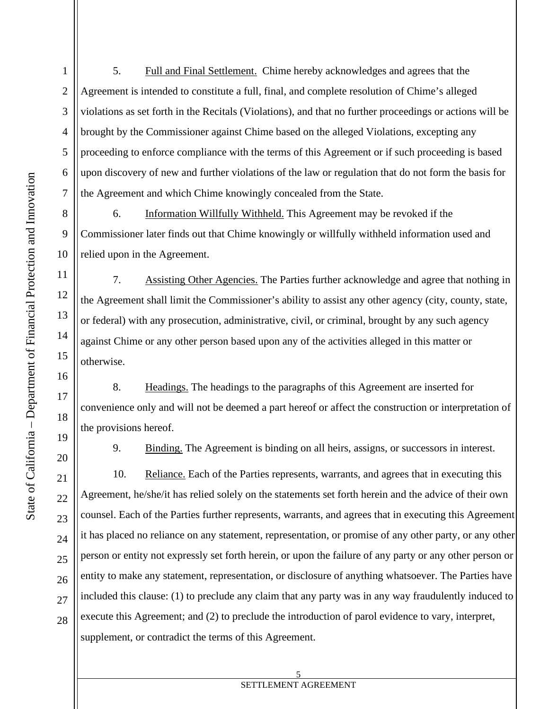5. Full and Final Settlement. Chime hereby acknowledges and agrees that the Agreement is intended to constitute a full, final, and complete resolution of Chime's alleged violations as set forth in the Recitals (Violations), and that no further proceedings or actions will be brought by the Commissioner against Chime based on the alleged Violations, excepting any proceeding to enforce compliance with the terms of this Agreement or if such proceeding is based upon discovery of new and further violations of the law or regulation that do not form the basis for the Agreement and which Chime knowingly concealed from the State.

6. Information Willfully Withheld. This Agreement may be revoked if the Commissioner later finds out that Chime knowingly or willfully withheld information used and relied upon in the Agreement.

7. Assisting Other Agencies. The Parties further acknowledge and agree that nothing in the Agreement shall limit the Commissioner's ability to assist any other agency (city, county, state, or federal) with any prosecution, administrative, civil, or criminal, brought by any such agency against Chime or any other person based upon any of the activities alleged in this matter or otherwise.

8. Headings. The headings to the paragraphs of this Agreement are inserted for convenience only and will not be deemed a part hereof or affect the construction or interpretation of the provisions hereof.

20

25

26

27

28

24

5

[6](#page-5-0) 

7

[8](#page-7-0) 

9

[4](#page-3-0) 

1

[2](#page-1-0) 

[3](#page-2-0) 

10

11

12

13

14

15

16

17

18

19

21

22

23

9. Binding. The Agreement is binding on all heirs, assigns, or successors in interest.

 it has placed no reliance on any statement, representation, or promise of any other party, or any other 10. Reliance. Each of the Parties represents, warrants, and agrees that in executing this Agreement, he/she/it has relied solely on the statements set forth herein and the advice of their own counsel. Each of the Parties further represents, warrants, and agrees that in executing this Agreement person or entity not expressly set forth herein, or upon the failure of any party or any other person or entity to make any statement, representation, or disclosure of anything whatsoever. The Parties have included this clause: (1) to preclude any claim that any party was in any way fraudulently induced to execute this Agreement; and (2) to preclude the introduction of parol evidence to vary, interpret, supplement, or contradict the terms of this Agreement.

 $\overline{a}$ 5 SETTLEMENT AGREEMENT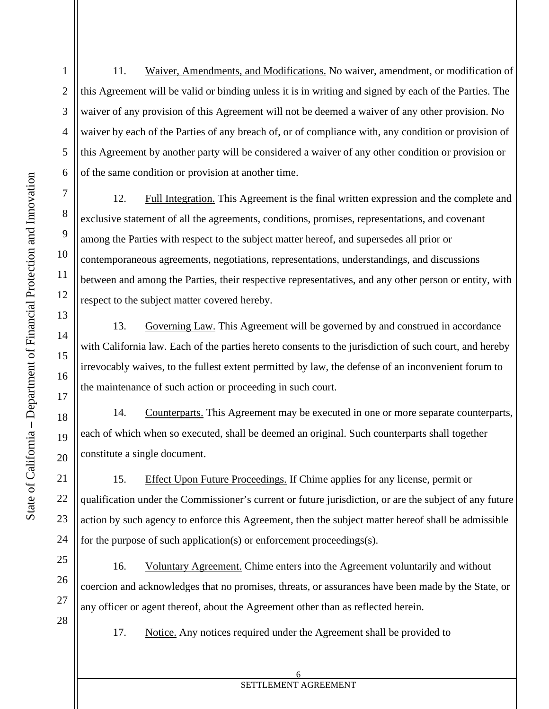11. Waiver, Amendments, and Modifications. No waiver, amendment, or modification of this Agreement will be valid or binding unless it is in writing and signed by each of the Parties. The waiver of any provision of this Agreement will not be deemed a waiver of any other provision. No waiver by each of the Parties of any breach of, or of compliance with, any condition or provision of this Agreement by another party will be considered a waiver of any other condition or provision or of the same condition or provision at another time.

 among the Parties with respect to the subject matter hereof, and supersedes all prior or 12. Full Integration. This Agreement is the final written expression and the complete and exclusive statement of all the agreements, conditions, promises, representations, and covenant contemporaneous agreements, negotiations, representations, understandings, and discussions between and among the Parties, their respective representatives, and any other person or entity, with respect to the subject matter covered hereby.

13. Governing Law. This Agreement will be governed by and construed in accordance with California law. Each of the parties hereto consents to the jurisdiction of such court, and hereby irrevocably waives, to the fullest extent permitted by law, the defense of an inconvenient forum to the maintenance of such action or proceeding in such court.

14. Counterparts. This Agreement may be executed in one or more separate counterparts, each of which when so executed, shall be deemed an original. Such counterparts shall together constitute a single document.

 qualification under the Commissioner's current or future jurisdiction, or are the subject of any future 15. Effect Upon Future Proceedings. If Chime applies for any license, permit or action by such agency to enforce this Agreement, then the subject matter hereof shall be admissible for the purpose of such application(s) or enforcement proceedings(s).

16. Voluntary Agreement. Chime enters into the Agreement voluntarily and without coercion and acknowledges that no promises, threats, or assurances have been made by the State, or any officer or agent thereof, about the Agreement other than as reflected herein.

17. Notice. Any notices required under the Agreement shall be provided to

5

6

7

[8](#page-7-0) 

9

[4](#page-3-0) 

<span id="page-5-0"></span>1

[2](#page-1-0) 

[3](#page-2-0) 

10

11

12

13

14

15

16

17

18

19

20

21

22

23

25

26

27

28

24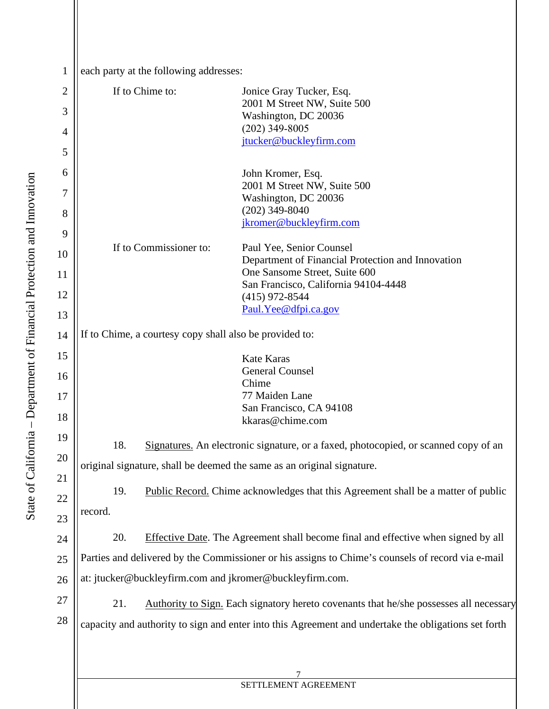| each party at the following addresses: |
|----------------------------------------|
|                                        |

| $\overline{2}$ | If to Chime to:                                                                                      |                                                                                            | Jonice Gray Tucker, Esq.<br>2001 M Street NW, Suite 500                                |  |  |  |
|----------------|------------------------------------------------------------------------------------------------------|--------------------------------------------------------------------------------------------|----------------------------------------------------------------------------------------|--|--|--|
| 3              |                                                                                                      |                                                                                            | Washington, DC 20036                                                                   |  |  |  |
| 4              |                                                                                                      |                                                                                            | $(202)$ 349-8005<br>jtucker@buckleyfirm.com                                            |  |  |  |
| 5              |                                                                                                      |                                                                                            |                                                                                        |  |  |  |
| 6              |                                                                                                      |                                                                                            | John Kromer, Esq.                                                                      |  |  |  |
| 7              |                                                                                                      |                                                                                            | 2001 M Street NW, Suite 500<br>Washington, DC 20036                                    |  |  |  |
| 8              |                                                                                                      |                                                                                            | $(202)$ 349-8040                                                                       |  |  |  |
| 9              |                                                                                                      |                                                                                            | jkromer@buckleyfirm.com                                                                |  |  |  |
| 10             |                                                                                                      | If to Commissioner to:                                                                     | Paul Yee, Senior Counsel                                                               |  |  |  |
| 11             |                                                                                                      |                                                                                            | Department of Financial Protection and Innovation<br>One Sansome Street, Suite 600     |  |  |  |
| 12             |                                                                                                      |                                                                                            | San Francisco, California 94104-4448                                                   |  |  |  |
|                |                                                                                                      |                                                                                            | $(415)$ 972-8544<br>Paul. Yee@dfpi.ca.gov                                              |  |  |  |
| 13<br>14       | If to Chime, a courtesy copy shall also be provided to:                                              |                                                                                            |                                                                                        |  |  |  |
| 15             |                                                                                                      |                                                                                            | <b>Kate Karas</b>                                                                      |  |  |  |
| 16             |                                                                                                      |                                                                                            | <b>General Counsel</b>                                                                 |  |  |  |
| 17             |                                                                                                      |                                                                                            | Chime<br>77 Maiden Lane                                                                |  |  |  |
| 18             |                                                                                                      |                                                                                            | San Francisco, CA 94108<br>kkaras@chime.com                                            |  |  |  |
| 19             |                                                                                                      |                                                                                            |                                                                                        |  |  |  |
| 20             |                                                                                                      | 18.<br>Signatures. An electronic signature, or a faxed, photocopied, or scanned copy of an |                                                                                        |  |  |  |
| 21             |                                                                                                      |                                                                                            | original signature, shall be deemed the same as an original signature.                 |  |  |  |
| 22             | Public Record. Chime acknowledges that this Agreement shall be a matter of public<br>19.             |                                                                                            |                                                                                        |  |  |  |
| 23             | record.                                                                                              |                                                                                            |                                                                                        |  |  |  |
| 24             | 20.                                                                                                  |                                                                                            | Effective Date. The Agreement shall become final and effective when signed by all      |  |  |  |
| 25             | Parties and delivered by the Commissioner or his assigns to Chime's counsels of record via e-mail    |                                                                                            |                                                                                        |  |  |  |
| 26             | at: jtucker@buckleyfirm.com and jkromer@buckleyfirm.com.                                             |                                                                                            |                                                                                        |  |  |  |
| 27             | 21.                                                                                                  |                                                                                            | Authority to Sign. Each signatory hereto covenants that he/she possesses all necessary |  |  |  |
| 28             | capacity and authority to sign and enter into this Agreement and undertake the obligations set forth |                                                                                            |                                                                                        |  |  |  |
|                |                                                                                                      |                                                                                            |                                                                                        |  |  |  |
|                |                                                                                                      |                                                                                            |                                                                                        |  |  |  |
|                |                                                                                                      |                                                                                            |                                                                                        |  |  |  |

SETTLEMENT AGREEMENT

1